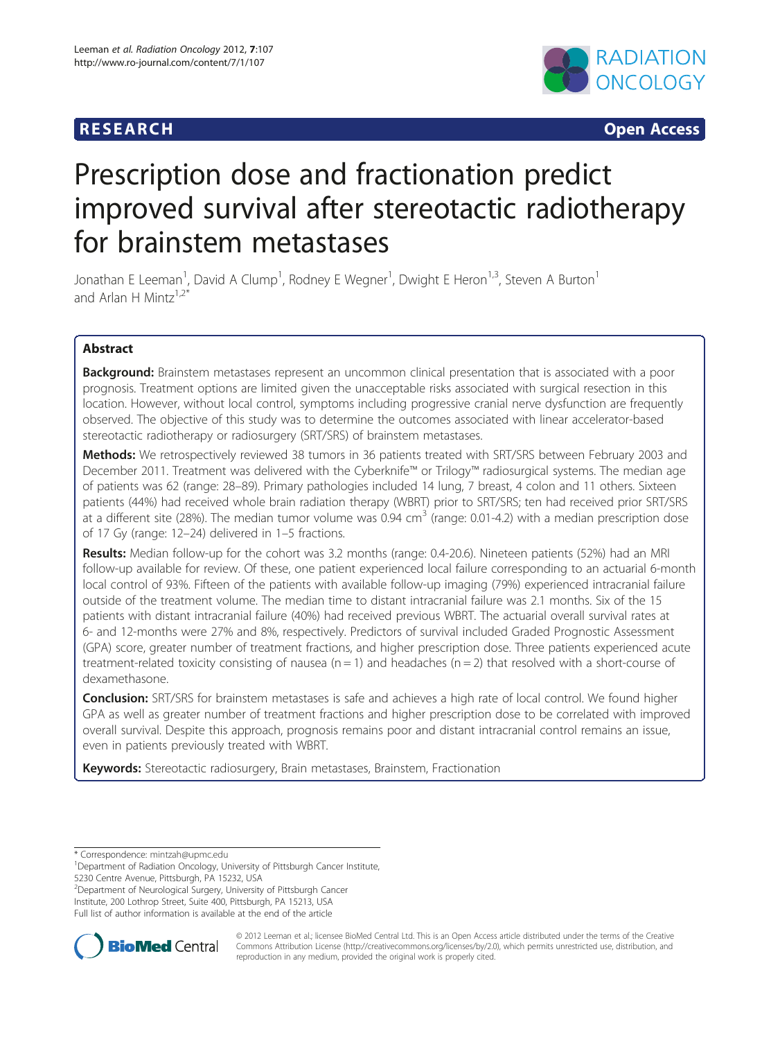# **RESEARCH RESEARCH CONSUMING ACCESS**



# Prescription dose and fractionation predict improved survival after stereotactic radiotherapy for brainstem metastases

Jonathan E Leeman<sup>1</sup>, David A Clump<sup>1</sup>, Rodney E Wegner<sup>1</sup>, Dwight E Heron<sup>1,3</sup>, Steven A Burton<sup>1</sup> and Arlan H Mintz $1.2$ <sup>\*</sup>

# Abstract

Background: Brainstem metastases represent an uncommon clinical presentation that is associated with a poor prognosis. Treatment options are limited given the unacceptable risks associated with surgical resection in this location. However, without local control, symptoms including progressive cranial nerve dysfunction are frequently observed. The objective of this study was to determine the outcomes associated with linear accelerator-based stereotactic radiotherapy or radiosurgery (SRT/SRS) of brainstem metastases.

Methods: We retrospectively reviewed 38 tumors in 36 patients treated with SRT/SRS between February 2003 and December 2011. Treatment was delivered with the Cyberknife™ or Trilogy™ radiosurgical systems. The median age of patients was 62 (range: 28–89). Primary pathologies included 14 lung, 7 breast, 4 colon and 11 others. Sixteen patients (44%) had received whole brain radiation therapy (WBRT) prior to SRT/SRS; ten had received prior SRT/SRS at a different site (28%). The median tumor volume was 0.94 cm<sup>3</sup> (range: 0.01-4.2) with a median prescription dose of 17 Gy (range: 12–24) delivered in 1–5 fractions.

Results: Median follow-up for the cohort was 3.2 months (range: 0.4-20.6). Nineteen patients (52%) had an MRI follow-up available for review. Of these, one patient experienced local failure corresponding to an actuarial 6-month local control of 93%. Fifteen of the patients with available follow-up imaging (79%) experienced intracranial failure outside of the treatment volume. The median time to distant intracranial failure was 2.1 months. Six of the 15 patients with distant intracranial failure (40%) had received previous WBRT. The actuarial overall survival rates at 6- and 12-months were 27% and 8%, respectively. Predictors of survival included Graded Prognostic Assessment (GPA) score, greater number of treatment fractions, and higher prescription dose. Three patients experienced acute treatment-related toxicity consisting of nausea ( $n = 1$ ) and headaches ( $n = 2$ ) that resolved with a short-course of dexamethasone.

**Conclusion:** SRT/SRS for brainstem metastases is safe and achieves a high rate of local control. We found higher GPA as well as greater number of treatment fractions and higher prescription dose to be correlated with improved overall survival. Despite this approach, prognosis remains poor and distant intracranial control remains an issue, even in patients previously treated with WBRT.

Keywords: Stereotactic radiosurgery, Brain metastases, Brainstem, Fractionation

2 Department of Neurological Surgery, University of Pittsburgh Cancer Institute, 200 Lothrop Street, Suite 400, Pittsburgh, PA 15213, USA Full list of author information is available at the end of the article



© 2012 Leeman et al.; licensee BioMed Central Ltd. This is an Open Access article distributed under the terms of the Creative Commons Attribution License [\(http://creativecommons.org/licenses/by/2.0\)](http://creativecommons.org/licenses/by/2.0), which permits unrestricted use, distribution, and reproduction in any medium, provided the original work is properly cited.

<sup>\*</sup> Correspondence: [mintzah@upmc.edu](mailto:mintzah@upmc.edu) <sup>1</sup>

<sup>&</sup>lt;sup>1</sup>Department of Radiation Oncology, University of Pittsburgh Cancer Institute, 5230 Centre Avenue, Pittsburgh, PA 15232, USA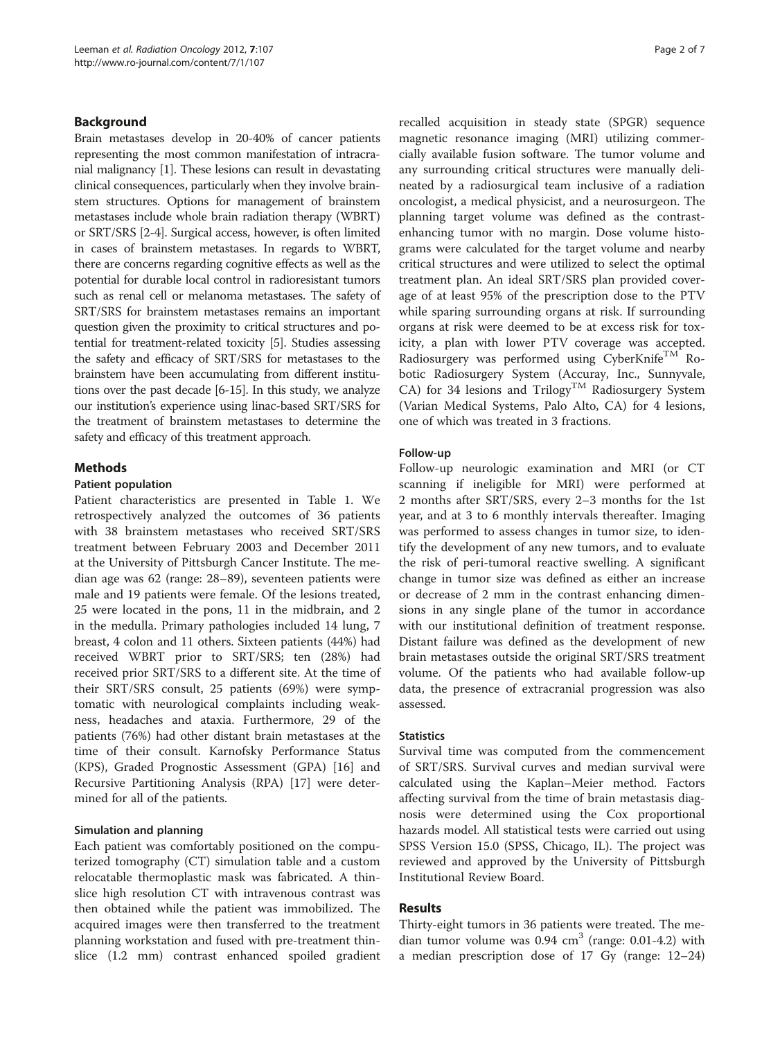# Background

Brain metastases develop in 20-40% of cancer patients representing the most common manifestation of intracranial malignancy [\[1\]](#page-6-0). These lesions can result in devastating clinical consequences, particularly when they involve brainstem structures. Options for management of brainstem metastases include whole brain radiation therapy (WBRT) or SRT/SRS [[2-4\]](#page-6-0). Surgical access, however, is often limited in cases of brainstem metastases. In regards to WBRT, there are concerns regarding cognitive effects as well as the potential for durable local control in radioresistant tumors such as renal cell or melanoma metastases. The safety of SRT/SRS for brainstem metastases remains an important question given the proximity to critical structures and potential for treatment-related toxicity [\[5\]](#page-6-0). Studies assessing the safety and efficacy of SRT/SRS for metastases to the brainstem have been accumulating from different institutions over the past decade [\[6-15\]](#page-6-0). In this study, we analyze our institution's experience using linac-based SRT/SRS for the treatment of brainstem metastases to determine the safety and efficacy of this treatment approach.

#### Methods

#### Patient population

Patient characteristics are presented in Table [1.](#page-2-0) We retrospectively analyzed the outcomes of 36 patients with 38 brainstem metastases who received SRT/SRS treatment between February 2003 and December 2011 at the University of Pittsburgh Cancer Institute. The median age was 62 (range: 28–89), seventeen patients were male and 19 patients were female. Of the lesions treated, 25 were located in the pons, 11 in the midbrain, and 2 in the medulla. Primary pathologies included 14 lung, 7 breast, 4 colon and 11 others. Sixteen patients (44%) had received WBRT prior to SRT/SRS; ten (28%) had received prior SRT/SRS to a different site. At the time of their SRT/SRS consult, 25 patients (69%) were symptomatic with neurological complaints including weakness, headaches and ataxia. Furthermore, 29 of the patients (76%) had other distant brain metastases at the time of their consult. Karnofsky Performance Status (KPS), Graded Prognostic Assessment (GPA) [\[16](#page-6-0)] and Recursive Partitioning Analysis (RPA) [[17](#page-6-0)] were determined for all of the patients.

#### Simulation and planning

Each patient was comfortably positioned on the computerized tomography (CT) simulation table and a custom relocatable thermoplastic mask was fabricated. A thinslice high resolution CT with intravenous contrast was then obtained while the patient was immobilized. The acquired images were then transferred to the treatment planning workstation and fused with pre-treatment thinslice (1.2 mm) contrast enhanced spoiled gradient recalled acquisition in steady state (SPGR) sequence magnetic resonance imaging (MRI) utilizing commercially available fusion software. The tumor volume and any surrounding critical structures were manually delineated by a radiosurgical team inclusive of a radiation oncologist, a medical physicist, and a neurosurgeon. The planning target volume was defined as the contrastenhancing tumor with no margin. Dose volume histograms were calculated for the target volume and nearby critical structures and were utilized to select the optimal treatment plan. An ideal SRT/SRS plan provided coverage of at least 95% of the prescription dose to the PTV while sparing surrounding organs at risk. If surrounding organs at risk were deemed to be at excess risk for toxicity, a plan with lower PTV coverage was accepted. Radiosurgery was performed using CyberKnife<sup>TM</sup> Robotic Radiosurgery System (Accuray, Inc., Sunnyvale, CA) for 34 lesions and Trilogy<sup>TM</sup> Radiosurgery System (Varian Medical Systems, Palo Alto, CA) for 4 lesions, one of which was treated in 3 fractions.

#### Follow-up

Follow-up neurologic examination and MRI (or CT scanning if ineligible for MRI) were performed at 2 months after SRT/SRS, every 2–3 months for the 1st year, and at 3 to 6 monthly intervals thereafter. Imaging was performed to assess changes in tumor size, to identify the development of any new tumors, and to evaluate the risk of peri-tumoral reactive swelling. A significant change in tumor size was defined as either an increase or decrease of 2 mm in the contrast enhancing dimensions in any single plane of the tumor in accordance with our institutional definition of treatment response. Distant failure was defined as the development of new brain metastases outside the original SRT/SRS treatment volume. Of the patients who had available follow-up data, the presence of extracranial progression was also assessed.

# **Statistics**

Survival time was computed from the commencement of SRT/SRS. Survival curves and median survival were calculated using the Kaplan–Meier method. Factors affecting survival from the time of brain metastasis diagnosis were determined using the Cox proportional hazards model. All statistical tests were carried out using SPSS Version 15.0 (SPSS, Chicago, IL). The project was reviewed and approved by the University of Pittsburgh Institutional Review Board.

# Results

Thirty-eight tumors in 36 patients were treated. The median tumor volume was  $0.94 \text{ cm}^3$  (range: 0.01-4.2) with a median prescription dose of 17 Gy (range: 12–24)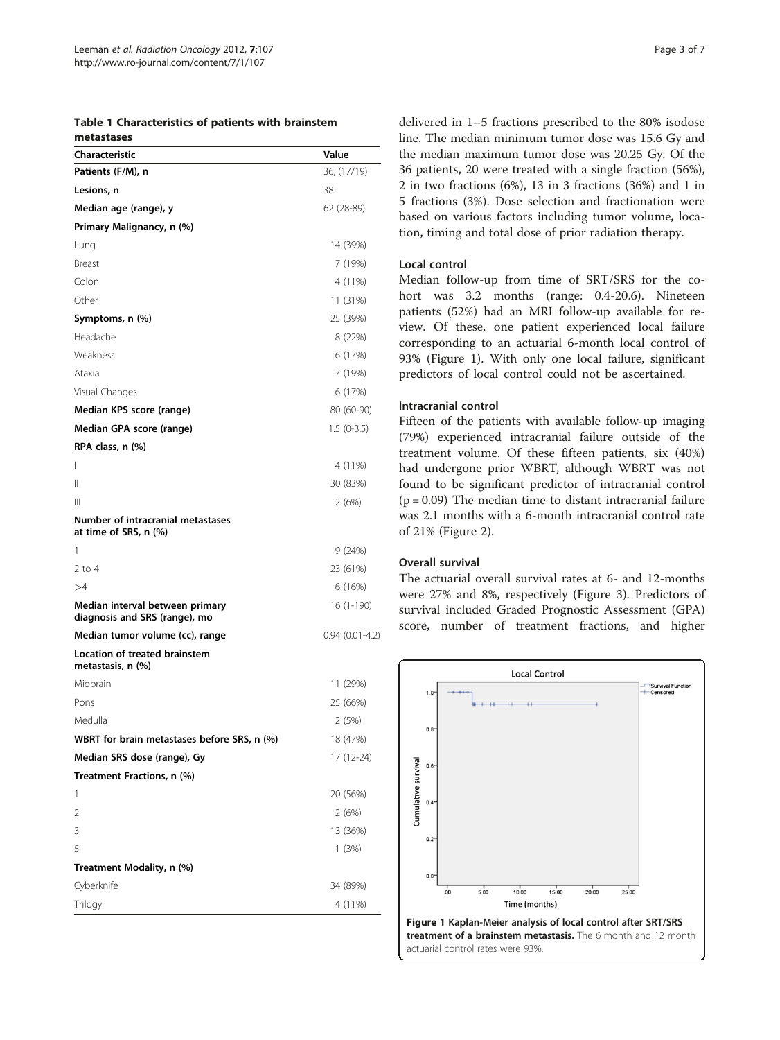<span id="page-2-0"></span>

|            | Table 1 Characteristics of patients with brainstem |  |  |
|------------|----------------------------------------------------|--|--|
| metastases |                                                    |  |  |

| metastases                                                       |                  |
|------------------------------------------------------------------|------------------|
| Characteristic                                                   | Value            |
| Patients (F/M), n                                                | 36, (17/19)      |
| Lesions, n                                                       | 38               |
| Median age (range), y                                            | 62 (28-89)       |
| Primary Malignancy, n (%)                                        |                  |
| Lung                                                             | 14 (39%)         |
| Breast                                                           | 7 (19%)          |
| Colon                                                            | 4 (11%)          |
| Other                                                            | 11 (31%)         |
| Symptoms, n (%)                                                  | 25 (39%)         |
| Headache                                                         | 8 (22%)          |
| Weakness                                                         | 6 (17%)          |
| Ataxia                                                           | 7 (19%)          |
| Visual Changes                                                   | 6 (17%)          |
| Median KPS score (range)                                         | 80 (60-90)       |
| Median GPA score (range)                                         | $1.5(0-3.5)$     |
| RPA class, n (%)                                                 |                  |
| $\mathbf{I}$                                                     | 4 (11%)          |
| Ш                                                                | 30 (83%)         |
| Ш                                                                | 2(6%)            |
| Number of intracranial metastases<br>at time of SRS, n (%)       |                  |
| 1                                                                | 9 (24%)          |
| $2$ to 4                                                         | 23 (61%)         |
| >4                                                               | 6(16%)           |
| Median interval between primary<br>diagnosis and SRS (range), mo | 16 (1-190)       |
| Median tumor volume (cc), range                                  | $0.94(0.01-4.2)$ |
| <b>Location of treated brainstem</b><br>metastasis, n (%)        |                  |
| Midbrain                                                         | 11 (29%)         |
| Pons                                                             | 25 (66%)         |
| Medulla                                                          | 2(5%)            |
| WBRT for brain metastases before SRS, n (%)                      | 18 (47%)         |
| Median SRS dose (range), Gy                                      | 17 (12-24)       |
| Treatment Fractions, n (%)                                       |                  |
| 1                                                                | 20 (56%)         |
| 2                                                                | 2(6%)            |
| 3                                                                | 13 (36%)         |
| 5                                                                | 1(3%)            |
| Treatment Modality, n (%)                                        |                  |

delivered in 1–5 fractions prescribed to the 80% isodose line. The median minimum tumor dose was 15.6 Gy and the median maximum tumor dose was 20.25 Gy. Of the 36 patients, 20 were treated with a single fraction (56%), 2 in two fractions (6%), 13 in 3 fractions (36%) and 1 in 5 fractions (3%). Dose selection and fractionation were based on various factors including tumor volume, location, timing and total dose of prior radiation therapy.

# Local control

Median follow-up from time of SRT/SRS for the cohort was 3.2 months (range: 0.4-20.6). Nineteen patients (52%) had an MRI follow-up available for review. Of these, one patient experienced local failure corresponding to an actuarial 6-month local control of 93% (Figure 1). With only one local failure, significant predictors of local control could not be ascertained.

### Intracranial control

Fifteen of the patients with available follow-up imaging (79%) experienced intracranial failure outside of the treatment volume. Of these fifteen patients, six (40%) had undergone prior WBRT, although WBRT was not found to be significant predictor of intracranial control  $(p = 0.09)$  The median time to distant intracranial failure was 2.1 months with a 6-month intracranial control rate of 21% (Figure [2](#page-3-0)).

# Overall survival

The actuarial overall survival rates at 6- and 12-months were 27% and 8%, respectively (Figure [3\)](#page-3-0). Predictors of survival included Graded Prognostic Assessment (GPA) score, number of treatment fractions, and higher

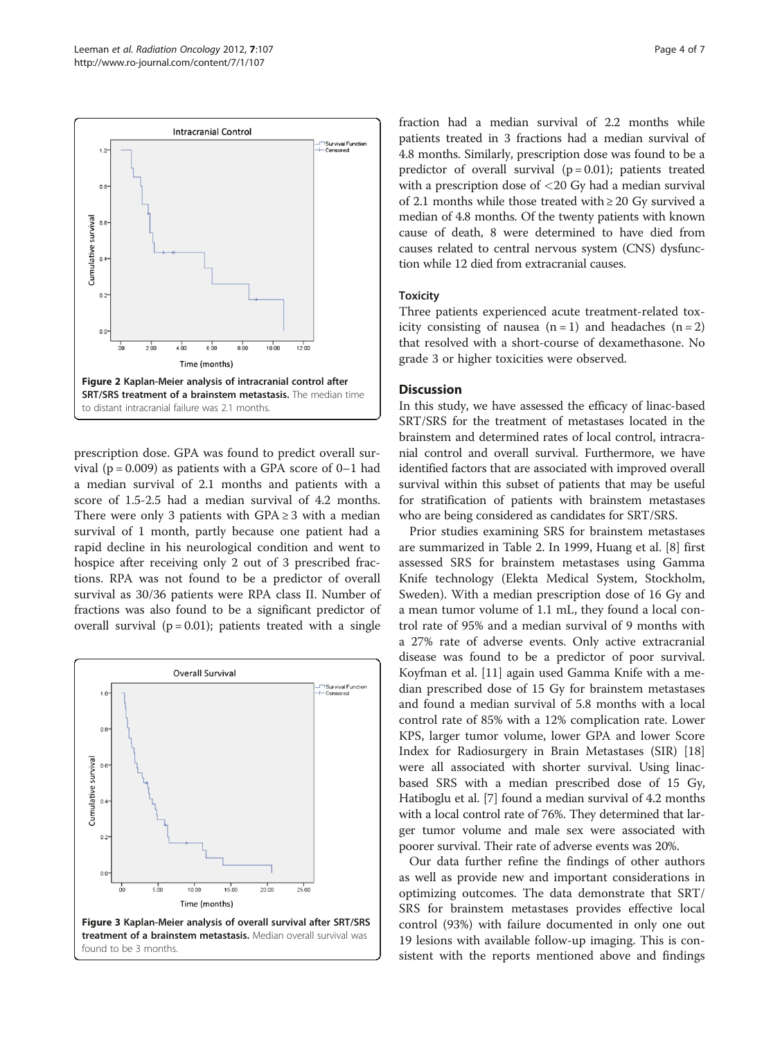<span id="page-3-0"></span>

prescription dose. GPA was found to predict overall survival ( $p = 0.009$ ) as patients with a GPA score of 0–1 had a median survival of 2.1 months and patients with a score of 1.5-2.5 had a median survival of 4.2 months. There were only 3 patients with  $GPA \geq 3$  with a median survival of 1 month, partly because one patient had a rapid decline in his neurological condition and went to hospice after receiving only 2 out of 3 prescribed fractions. RPA was not found to be a predictor of overall survival as 30/36 patients were RPA class II. Number of fractions was also found to be a significant predictor of overall survival  $(p = 0.01)$ ; patients treated with a single



fraction had a median survival of 2.2 months while patients treated in 3 fractions had a median survival of 4.8 months. Similarly, prescription dose was found to be a predictor of overall survival  $(p = 0.01)$ ; patients treated with a prescription dose of <20 Gy had a median survival of 2.1 months while those treated with ≥ 20 Gy survived a median of 4.8 months. Of the twenty patients with known cause of death, 8 were determined to have died from causes related to central nervous system (CNS) dysfunction while 12 died from extracranial causes.

## **Toxicity**

Three patients experienced acute treatment-related toxicity consisting of nausea  $(n = 1)$  and headaches  $(n = 2)$ that resolved with a short-course of dexamethasone. No grade 3 or higher toxicities were observed.

# **Discussion**

In this study, we have assessed the efficacy of linac-based SRT/SRS for the treatment of metastases located in the brainstem and determined rates of local control, intracranial control and overall survival. Furthermore, we have identified factors that are associated with improved overall survival within this subset of patients that may be useful for stratification of patients with brainstem metastases who are being considered as candidates for SRT/SRS.

Prior studies examining SRS for brainstem metastases are summarized in Table [2.](#page-5-0) In 1999, Huang et al. [\[8](#page-6-0)] first assessed SRS for brainstem metastases using Gamma Knife technology (Elekta Medical System, Stockholm, Sweden). With a median prescription dose of 16 Gy and a mean tumor volume of 1.1 mL, they found a local control rate of 95% and a median survival of 9 months with a 27% rate of adverse events. Only active extracranial disease was found to be a predictor of poor survival. Koyfman et al. [[11\]](#page-6-0) again used Gamma Knife with a median prescribed dose of 15 Gy for brainstem metastases and found a median survival of 5.8 months with a local control rate of 85% with a 12% complication rate. Lower KPS, larger tumor volume, lower GPA and lower Score Index for Radiosurgery in Brain Metastases (SIR) [[18](#page-6-0)] were all associated with shorter survival. Using linacbased SRS with a median prescribed dose of 15 Gy, Hatiboglu et al. [\[7](#page-6-0)] found a median survival of 4.2 months with a local control rate of 76%. They determined that larger tumor volume and male sex were associated with poorer survival. Their rate of adverse events was 20%.

Our data further refine the findings of other authors as well as provide new and important considerations in optimizing outcomes. The data demonstrate that SRT/ SRS for brainstem metastases provides effective local control (93%) with failure documented in only one out 19 lesions with available follow-up imaging. This is consistent with the reports mentioned above and findings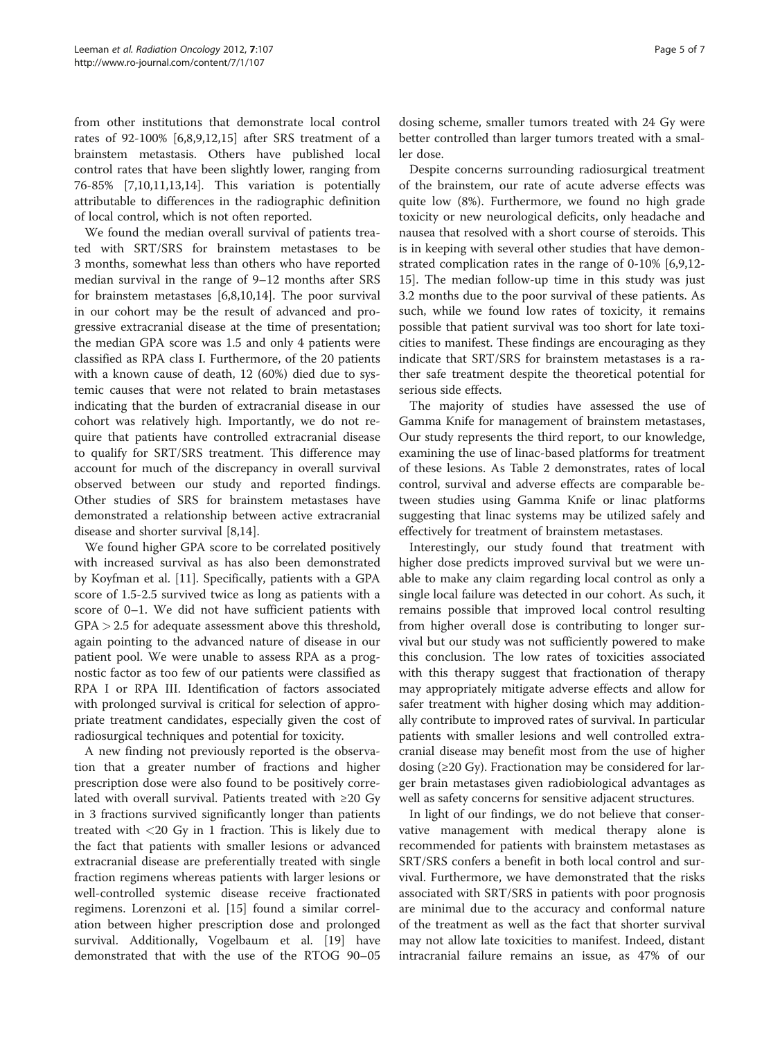from other institutions that demonstrate local control rates of 92-100% [\[6,8](#page-6-0),[9](#page-6-0),[12](#page-6-0),[15](#page-6-0)] after SRS treatment of a brainstem metastasis. Others have published local control rates that have been slightly lower, ranging from 76-85% [[7,10,11,13,14\]](#page-6-0). This variation is potentially attributable to differences in the radiographic definition of local control, which is not often reported.

We found the median overall survival of patients treated with SRT/SRS for brainstem metastases to be 3 months, somewhat less than others who have reported median survival in the range of 9–12 months after SRS for brainstem metastases [\[6,8,10,14](#page-6-0)]. The poor survival in our cohort may be the result of advanced and progressive extracranial disease at the time of presentation; the median GPA score was 1.5 and only 4 patients were classified as RPA class I. Furthermore, of the 20 patients with a known cause of death, 12 (60%) died due to systemic causes that were not related to brain metastases indicating that the burden of extracranial disease in our cohort was relatively high. Importantly, we do not require that patients have controlled extracranial disease to qualify for SRT/SRS treatment. This difference may account for much of the discrepancy in overall survival observed between our study and reported findings. Other studies of SRS for brainstem metastases have demonstrated a relationship between active extracranial disease and shorter survival [\[8,14\]](#page-6-0).

We found higher GPA score to be correlated positively with increased survival as has also been demonstrated by Koyfman et al. [[11\]](#page-6-0). Specifically, patients with a GPA score of 1.5-2.5 survived twice as long as patients with a score of 0–1. We did not have sufficient patients with  $GPA > 2.5$  for adequate assessment above this threshold, again pointing to the advanced nature of disease in our patient pool. We were unable to assess RPA as a prognostic factor as too few of our patients were classified as RPA I or RPA III. Identification of factors associated with prolonged survival is critical for selection of appropriate treatment candidates, especially given the cost of radiosurgical techniques and potential for toxicity.

A new finding not previously reported is the observation that a greater number of fractions and higher prescription dose were also found to be positively correlated with overall survival. Patients treated with ≥20 Gy in 3 fractions survived significantly longer than patients treated with <20 Gy in 1 fraction. This is likely due to the fact that patients with smaller lesions or advanced extracranial disease are preferentially treated with single fraction regimens whereas patients with larger lesions or well-controlled systemic disease receive fractionated regimens. Lorenzoni et al. [[15](#page-6-0)] found a similar correlation between higher prescription dose and prolonged survival. Additionally, Vogelbaum et al. [[19](#page-6-0)] have demonstrated that with the use of the RTOG 90–05

dosing scheme, smaller tumors treated with 24 Gy were better controlled than larger tumors treated with a smaller dose.

Despite concerns surrounding radiosurgical treatment of the brainstem, our rate of acute adverse effects was quite low (8%). Furthermore, we found no high grade toxicity or new neurological deficits, only headache and nausea that resolved with a short course of steroids. This is in keeping with several other studies that have demonstrated complication rates in the range of 0-10% [\[6,9,12-](#page-6-0) [15\]](#page-6-0). The median follow-up time in this study was just 3.2 months due to the poor survival of these patients. As such, while we found low rates of toxicity, it remains possible that patient survival was too short for late toxicities to manifest. These findings are encouraging as they indicate that SRT/SRS for brainstem metastases is a rather safe treatment despite the theoretical potential for serious side effects.

The majority of studies have assessed the use of Gamma Knife for management of brainstem metastases, Our study represents the third report, to our knowledge, examining the use of linac-based platforms for treatment of these lesions. As Table [2](#page-5-0) demonstrates, rates of local control, survival and adverse effects are comparable between studies using Gamma Knife or linac platforms suggesting that linac systems may be utilized safely and effectively for treatment of brainstem metastases.

Interestingly, our study found that treatment with higher dose predicts improved survival but we were unable to make any claim regarding local control as only a single local failure was detected in our cohort. As such, it remains possible that improved local control resulting from higher overall dose is contributing to longer survival but our study was not sufficiently powered to make this conclusion. The low rates of toxicities associated with this therapy suggest that fractionation of therapy may appropriately mitigate adverse effects and allow for safer treatment with higher dosing which may additionally contribute to improved rates of survival. In particular patients with smaller lesions and well controlled extracranial disease may benefit most from the use of higher dosing (≥20 Gy). Fractionation may be considered for larger brain metastases given radiobiological advantages as well as safety concerns for sensitive adjacent structures.

In light of our findings, we do not believe that conservative management with medical therapy alone is recommended for patients with brainstem metastases as SRT/SRS confers a benefit in both local control and survival. Furthermore, we have demonstrated that the risks associated with SRT/SRS in patients with poor prognosis are minimal due to the accuracy and conformal nature of the treatment as well as the fact that shorter survival may not allow late toxicities to manifest. Indeed, distant intracranial failure remains an issue, as 47% of our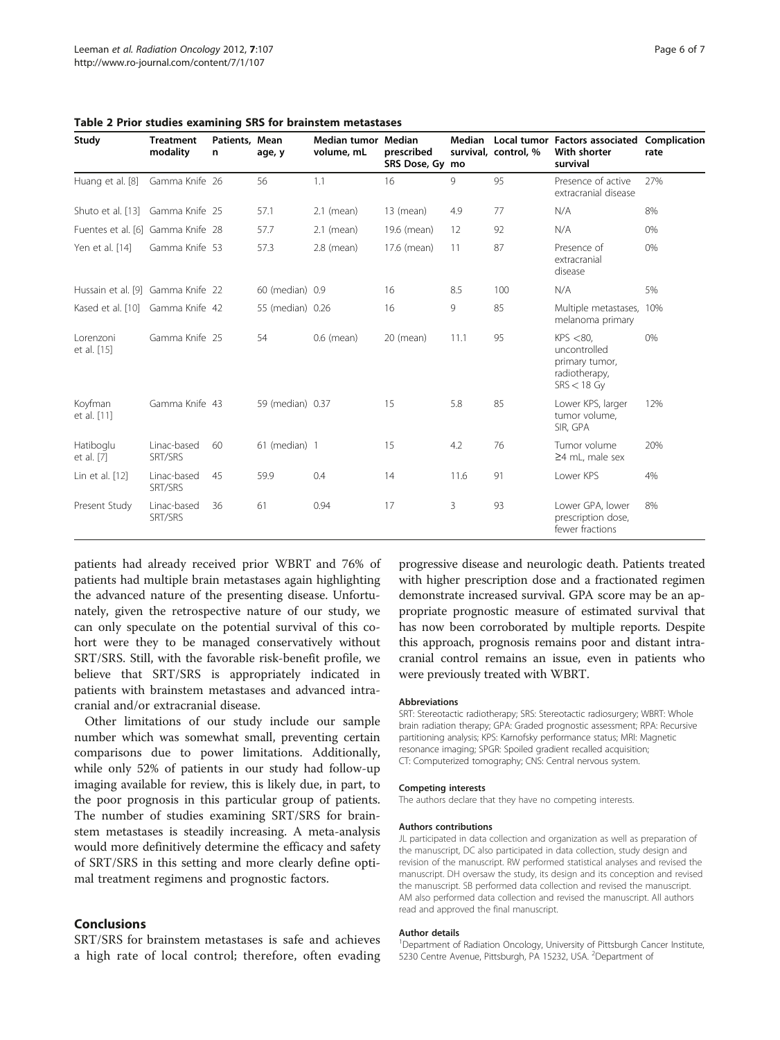| Study                             | <b>Treatment</b><br>modality | Patients, Mean<br>n | age, y           | Median tumor Median<br>volume, mL | prescribed<br>SRS Dose, Gy mo |      | survival, control, % | Median Local tumor Factors associated<br>With shorter<br>survival                | Complication<br>rate |
|-----------------------------------|------------------------------|---------------------|------------------|-----------------------------------|-------------------------------|------|----------------------|----------------------------------------------------------------------------------|----------------------|
| Huang et al. [8]                  | Gamma Knife 26               |                     | 56               | 1.1                               | 16                            | 9    | 95                   | Presence of active<br>extracranial disease                                       | 27%                  |
| Shuto et al. [13] Gamma Knife 25  |                              |                     | 57.1             | $2.1$ (mean)                      | $13$ (mean)                   | 4.9  | 77                   | N/A                                                                              | 8%                   |
| Fuentes et al. [6] Gamma Knife 28 |                              |                     | 57.7             | $2.1$ (mean)                      | 19.6 (mean)                   | 12   | 92                   | N/A                                                                              | 0%                   |
| Yen et al. [14]                   | Gamma Knife 53               |                     | 57.3             | $2.8$ (mean)                      | 17.6 (mean)                   | 11   | 87                   | Presence of<br>extracranial<br>disease                                           | 0%                   |
| Hussain et al. [9] Gamma Knife 22 |                              |                     | 60 (median) 0.9  |                                   | 16                            | 8.5  | 100                  | N/A                                                                              | 5%                   |
| Kased et al. [10] Gamma Knife 42  |                              |                     | 55 (median) 0.26 |                                   | 16                            | 9    | 85                   | Multiple metastases, 10%<br>melanoma primary                                     |                      |
| Lorenzoni<br>et al. [15]          | Gamma Knife 25               |                     | 54               | $0.6$ (mean)                      | 20 (mean)                     | 11.1 | 95                   | $KPS < 80$ ,<br>uncontrolled<br>primary tumor,<br>radiotherapy,<br>$SRS < 18$ Gy | 0%                   |
| Koyfman<br>et al. [11]            | Gamma Knife 43               |                     | 59 (median) 0.37 |                                   | 15                            | 5.8  | 85                   | Lower KPS, larger<br>tumor volume.<br>SIR, GPA                                   | 12%                  |
| Hatiboglu<br>et al. [7]           | Linac-based<br>SRT/SRS       | 60                  | 61 (median) 1    |                                   | 15                            | 4.2  | 76                   | Tumor volume<br>$\geq$ 4 mL, male sex                                            | 20%                  |
| Lin et al. [12]                   | Linac-based<br>SRT/SRS       | 45                  | 59.9             | 0.4                               | 14                            | 11.6 | 91                   | Lower KPS                                                                        | 4%                   |
| Present Study                     | Linac-based<br>SRT/SRS       | 36                  | 61               | 0.94                              | 17                            | 3    | 93                   | Lower GPA, lower<br>prescription dose,<br>fewer fractions                        | 8%                   |

<span id="page-5-0"></span>Table 2 Prior studies examining SRS for brainstem metastases

patients had already received prior WBRT and 76% of patients had multiple brain metastases again highlighting the advanced nature of the presenting disease. Unfortunately, given the retrospective nature of our study, we can only speculate on the potential survival of this cohort were they to be managed conservatively without SRT/SRS. Still, with the favorable risk-benefit profile, we believe that SRT/SRS is appropriately indicated in patients with brainstem metastases and advanced intracranial and/or extracranial disease.

Other limitations of our study include our sample number which was somewhat small, preventing certain comparisons due to power limitations. Additionally, while only 52% of patients in our study had follow-up imaging available for review, this is likely due, in part, to the poor prognosis in this particular group of patients. The number of studies examining SRT/SRS for brainstem metastases is steadily increasing. A meta-analysis would more definitively determine the efficacy and safety of SRT/SRS in this setting and more clearly define optimal treatment regimens and prognostic factors.

### **Conclusions**

SRT/SRS for brainstem metastases is safe and achieves a high rate of local control; therefore, often evading

progressive disease and neurologic death. Patients treated with higher prescription dose and a fractionated regimen demonstrate increased survival. GPA score may be an appropriate prognostic measure of estimated survival that has now been corroborated by multiple reports. Despite this approach, prognosis remains poor and distant intracranial control remains an issue, even in patients who were previously treated with WBRT.

#### **Abbreviations**

SRT: Stereotactic radiotherapy; SRS: Stereotactic radiosurgery; WBRT: Whole brain radiation therapy; GPA: Graded prognostic assessment; RPA: Recursive partitioning analysis; KPS: Karnofsky performance status; MRI: Magnetic resonance imaging; SPGR: Spoiled gradient recalled acquisition; CT: Computerized tomography; CNS: Central nervous system.

#### Competing interests

The authors declare that they have no competing interests.

#### Authors contributions

JL participated in data collection and organization as well as preparation of the manuscript, DC also participated in data collection, study design and revision of the manuscript. RW performed statistical analyses and revised the manuscript. DH oversaw the study, its design and its conception and revised the manuscript. SB performed data collection and revised the manuscript. AM also performed data collection and revised the manuscript. All authors read and approved the final manuscript.

#### Author details

<sup>1</sup>Department of Radiation Oncology, University of Pittsburgh Cancer Institute, 5230 Centre Avenue, Pittsburgh, PA 15232, USA. <sup>2</sup> Department of